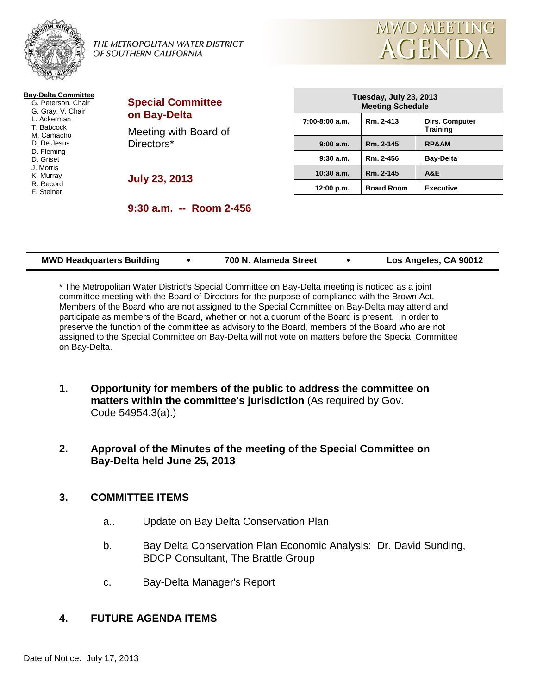

THE METROPOLITAN WATER DISTRICT OF SOUTHERN CALIFORNIA



| <b>Bay-Delta Committee</b> |
|----------------------------|
| G. Peterson, Chair         |
| G. Gray, V. Chair          |
| L. Ackerman                |
| T. Babcock                 |
| M. Camacho                 |
| D. De Jesus                |
| D. Fleming                 |
| D. Griset                  |
| J. Morris                  |
| K. Murray                  |
| R. Record                  |
| F. Steiner                 |
|                            |

| <b>Special Committee</b><br>on Bay-Delta |  |
|------------------------------------------|--|
| Meeting with Board of<br>Directors*      |  |

**July 23, 2013**

| Tuesday, July 23, 2013<br><b>Meeting Schedule</b> |                   |                                   |  |  |
|---------------------------------------------------|-------------------|-----------------------------------|--|--|
| $7:00-8:00$ a.m.                                  | Rm. 2-413         | Dirs. Computer<br><b>Training</b> |  |  |
| 9:00a.m.                                          | Rm. 2-145         | <b>RP&amp;AM</b>                  |  |  |
| 9:30a.m.                                          | Rm. 2-456         | <b>Bay-Delta</b>                  |  |  |
| $10:30$ a.m.                                      | Rm. 2-145         | A&E                               |  |  |
| 12:00 p.m.                                        | <b>Board Room</b> | <b>Executive</b>                  |  |  |

**9:30 a.m. -- Room 2-456**

| <b>MWD Headquarters Building</b> | 700 N. Alameda Street | Los Angeles, CA 90012 |
|----------------------------------|-----------------------|-----------------------|
|----------------------------------|-----------------------|-----------------------|

\* The Metropolitan Water District's Special Committee on Bay-Delta meeting is noticed as a joint committee meeting with the Board of Directors for the purpose of compliance with the Brown Act. Members of the Board who are not assigned to the Special Committee on Bay-Delta may attend and participate as members of the Board, whether or not a quorum of the Board is present. In order to preserve the function of the committee as advisory to the Board, members of the Board who are not assigned to the Special Committee on Bay-Delta will not vote on matters before the Special Committee on Bay-Delta.

- **1. Opportunity for members of the public to address the committee on matters within the committee's jurisdiction** (As required by Gov. Code 54954.3(a).)
- **2. Approval of the Minutes of the meeting of the Special Committee on Bay-Delta held June 25, 2013**

## **3. COMMITTEE ITEMS**

- a.. Update on Bay Delta Conservation Plan
- b. Bay Delta Conservation Plan Economic Analysis: Dr. David Sunding, BDCP Consultant, The Brattle Group
- c. Bay-Delta Manager's Report

## **4. FUTURE AGENDA ITEMS**